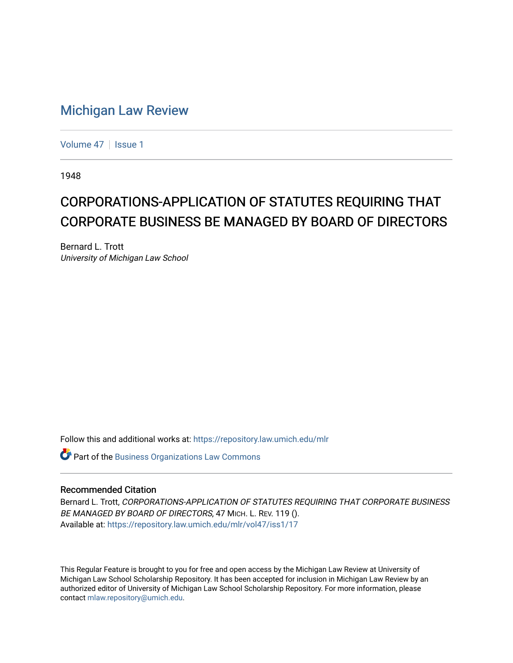## [Michigan Law Review](https://repository.law.umich.edu/mlr)

[Volume 47](https://repository.law.umich.edu/mlr/vol47) | [Issue 1](https://repository.law.umich.edu/mlr/vol47/iss1)

1948

## CORPORATIONS-APPLICATION OF STATUTES REQUIRING THAT CORPORATE BUSINESS BE MANAGED BY BOARD OF DIRECTORS

Bernard L. Trott University of Michigan Law School

Follow this and additional works at: [https://repository.law.umich.edu/mlr](https://repository.law.umich.edu/mlr?utm_source=repository.law.umich.edu%2Fmlr%2Fvol47%2Fiss1%2F17&utm_medium=PDF&utm_campaign=PDFCoverPages) 

Part of the [Business Organizations Law Commons](http://network.bepress.com/hgg/discipline/900?utm_source=repository.law.umich.edu%2Fmlr%2Fvol47%2Fiss1%2F17&utm_medium=PDF&utm_campaign=PDFCoverPages)

## Recommended Citation

Bernard L. Trott, CORPORATIONS-APPLICATION OF STATUTES REQUIRING THAT CORPORATE BUSINESS BE MANAGED BY BOARD OF DIRECTORS, 47 MICH. L. REV. 119 (). Available at: [https://repository.law.umich.edu/mlr/vol47/iss1/17](https://repository.law.umich.edu/mlr/vol47/iss1/17?utm_source=repository.law.umich.edu%2Fmlr%2Fvol47%2Fiss1%2F17&utm_medium=PDF&utm_campaign=PDFCoverPages) 

This Regular Feature is brought to you for free and open access by the Michigan Law Review at University of Michigan Law School Scholarship Repository. It has been accepted for inclusion in Michigan Law Review by an authorized editor of University of Michigan Law School Scholarship Repository. For more information, please contact [mlaw.repository@umich.edu](mailto:mlaw.repository@umich.edu).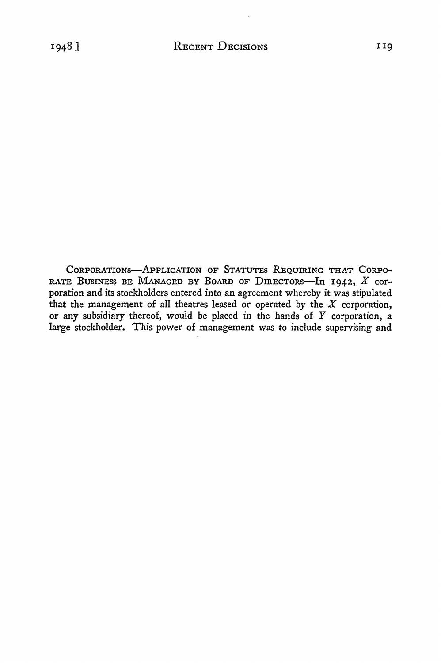CORPORATIONS-APPLICATION OF STATUTES REQUIRING THAT CORPO-RATE BUSINESS BE MANAGED BY BOARD OF DIRECTORS-In 1942,  $X$  corporation and its stockholders entered into an agreement whereby it was stipulated that the management of all theatres leased or operated by the *X* corporation, or any subsidiary thereof, would be placed in the hands of Y corporation, a large stockholder. This power of management was to include supervising and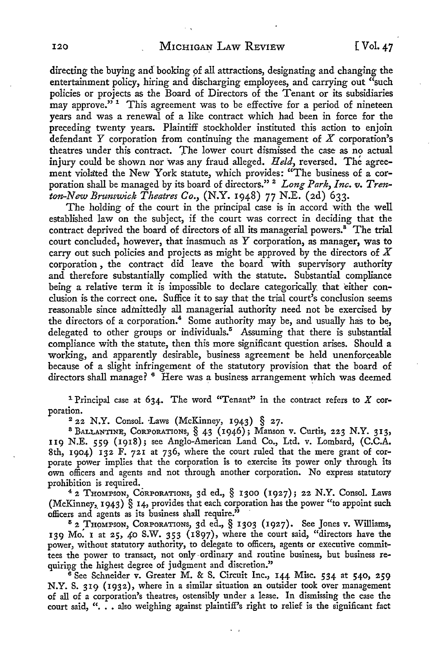directing the buying and booking of all attractions, designating and changing the entertainment policy, hiring and discharging employees, and carrying out "such policies or projects as the Board of Directors of the Tenant or its subsidiaries may approve."<sup>1</sup> This agreement was to be effective for a period of nineteen years and was a renewal of a like contract which had been in force for the preceding twenty years. Plaintiff stockholder instituted this action to enjoin defendant Y corporation from continuing the management of  $X$  corporation's theatres under this contract. The lower court dismissed the case as no actual injury could be shown nor was any fraud alleged. Held, reversed. The agreement violated the New York statute, which provides: "The business of a corporation shall be managed by its board of directors."<sup>2</sup> Long Park, Inc. v. Tren*ton-New Brunswick Theatres Co.,* (N.Y. 1948) 77 N.E. (2d) 633.

The holding of the court in the principal case is in accord with the well established law on the subject, if the court was correct in deciding that the contract deprived the board of directors of all its managerial powers.<sup>8</sup> The trial court concluded, however, that inasmuch as Y corporation, as manager, was to carry out such policies and projects as might be approved by the directors of *X*  corporation , the contract did leave the board with supervisory authority and therefore substantially complied with the statute. Substantial compliance being a relative term it is impossible to declare categorically that either conclusion is the correct one. Suffice it to say that the trial court's conclusion seems reasonable since admittedly all managerial authority need not be exercised by the directors of a corporation.<sup>4</sup> Some authority may be, and usually has to be, delegated to other groups or individuals.<sup>5</sup> Assuming that there is substantial compliance with the statute, then this more significant question arises. Should a working, and apparently desirable, business agreement be held unenforceable because of a slight infringement of the statutory provision that the board of directors shall manage? <sup>6</sup> Here was a business arrangement which was deemed

<sup>1</sup> Principal case at 634. The word "Tenant" in the contract refers to  $X$  corporation.

 $2$  22 N.Y. Consol. Laws (McKinney, 1943) § 27.

<sup>8</sup>BALLANTINE, CoRPORATIONs, § 43 (1946); Manson v. Curtis, 223 N.Y. 313, II9 N.E. 559 (1918); see Anglo-American Land Co., Ltd. v. Lombard, (C.C.A. 8th, 1904) 132 F. 721 at 736, where the court ruled that the mere grant of corporate power implies that the corporation is to exercise its power only through its own officers and agents and not through another corporation. No express statutory prohibition is required.

<sup>4</sup>2 THOMPSON, CORPORATIONS, 3d ed., § 1300 (1927); 22 N.Y. Consol. Laws (McKinney, 1943) § 14, provides that each corporation has the power "to appoint such officers and agents as its business shall require."

<sup>5</sup>2 THOMPSON, CoRPORATIONs, 3d ed., § 1303 (1927). See Jones v. Williams, 139 Mo. 1 at 25, 40 S.W. 353 (1897), where the court said, "directors have the power, without statutory authority, to delegate to officers, agents or executive committees the power to transact, not only-ordinary and routine business, but business requiring the highest degree of judgment and discretion."

<sup>6</sup> See Schneider v. Greater M. & S. Circuit Inc., 144 Misc. 534 at 540, 259 N.Y. S. 319 (1932), where in a similar situation an outsider took over management of all of a corporation's theatres, ostensibly under a lease. In dismissing the case the court said, "... also weighing against plaintiff's right to relief is the significant fact